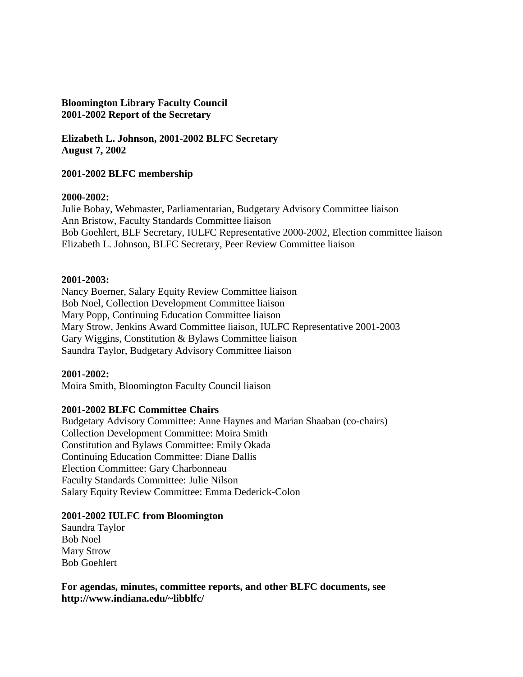#### **Bloomington Library Faculty Council 2001-2002 Report of the Secretary**

**Elizabeth L. Johnson, 2001-2002 BLFC Secretary August 7, 2002**

### **2001-2002 BLFC membership**

#### **2000-2002:**

Julie Bobay, Webmaster, Parliamentarian, Budgetary Advisory Committee liaison Ann Bristow, Faculty Standards Committee liaison Bob Goehlert, BLF Secretary, IULFC Representative 2000-2002, Election committee liaison Elizabeth L. Johnson, BLFC Secretary, Peer Review Committee liaison

#### **2001-2003:**

Nancy Boerner, Salary Equity Review Committee liaison Bob Noel, Collection Development Committee liaison Mary Popp, Continuing Education Committee liaison Mary Strow, Jenkins Award Committee liaison, IULFC Representative 2001-2003 Gary Wiggins, Constitution & Bylaws Committee liaison Saundra Taylor, Budgetary Advisory Committee liaison

#### **2001-2002:**

Moira Smith, Bloomington Faculty Council liaison

#### **2001-2002 BLFC Committee Chairs**

Budgetary Advisory Committee: Anne Haynes and Marian Shaaban (co-chairs) Collection Development Committee: Moira Smith Constitution and Bylaws Committee: Emily Okada Continuing Education Committee: Diane Dallis Election Committee: Gary Charbonneau Faculty Standards Committee: Julie Nilson Salary Equity Review Committee: Emma Dederick-Colon

#### **2001-2002 IULFC from Bloomington**

Saundra Taylor Bob Noel Mary Strow Bob Goehlert

**For agendas, minutes, committee reports, and other BLFC documents, see http://www.indiana.edu/~libblfc/**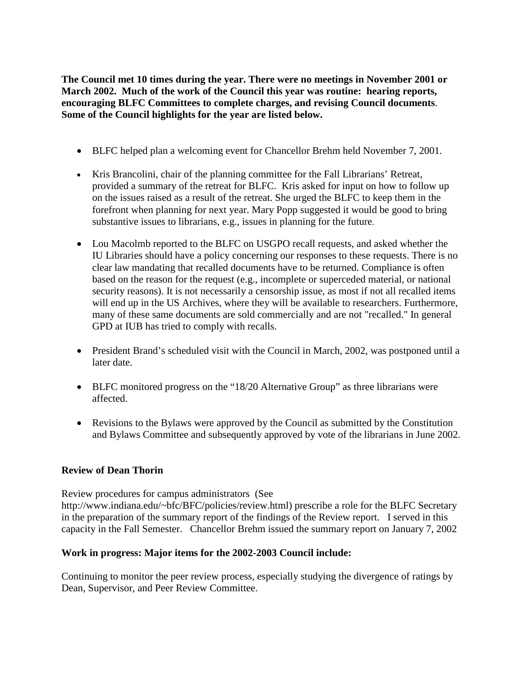**The Council met 10 times during the year. There were no meetings in November 2001 or March 2002. Much of the work of the Council this year was routine: hearing reports, encouraging BLFC Committees to complete charges, and revising Council documents**. **Some of the Council highlights for the year are listed below.**

- BLFC helped plan a welcoming event for Chancellor Brehm held November 7, 2001.
- Kris Brancolini, chair of the planning committee for the Fall Librarians' Retreat, provided a summary of the retreat for BLFC. Kris asked for input on how to follow up on the issues raised as a result of the retreat. She urged the BLFC to keep them in the forefront when planning for next year. Mary Popp suggested it would be good to bring substantive issues to librarians, e.g., issues in planning for the future.
- Lou Macolmb reported to the BLFC on USGPO recall requests, and asked whether the IU Libraries should have a policy concerning our responses to these requests. There is no clear law mandating that recalled documents have to be returned. Compliance is often based on the reason for the request (e.g., incomplete or superceded material, or national security reasons). It is not necessarily a censorship issue, as most if not all recalled items will end up in the US Archives, where they will be available to researchers. Furthermore, many of these same documents are sold commercially and are not "recalled." In general GPD at IUB has tried to comply with recalls.
- President Brand's scheduled visit with the Council in March, 2002, was postponed until a later date.
- BLFC monitored progress on the "18/20 Alternative Group" as three librarians were affected.
- Revisions to the Bylaws were approved by the Council as submitted by the Constitution and Bylaws Committee and subsequently approved by vote of the librarians in June 2002.

# **Review of Dean Thorin**

Review procedures for campus administrators (See

http://www.indiana.edu/~bfc/BFC/policies/review.html) prescribe a role for the BLFC Secretary in the preparation of the summary report of the findings of the Review report. I served in this capacity in the Fall Semester. Chancellor Brehm issued the summary report on January 7, 2002

## **Work in progress: Major items for the 2002-2003 Council include:**

Continuing to monitor the peer review process, especially studying the divergence of ratings by Dean, Supervisor, and Peer Review Committee.